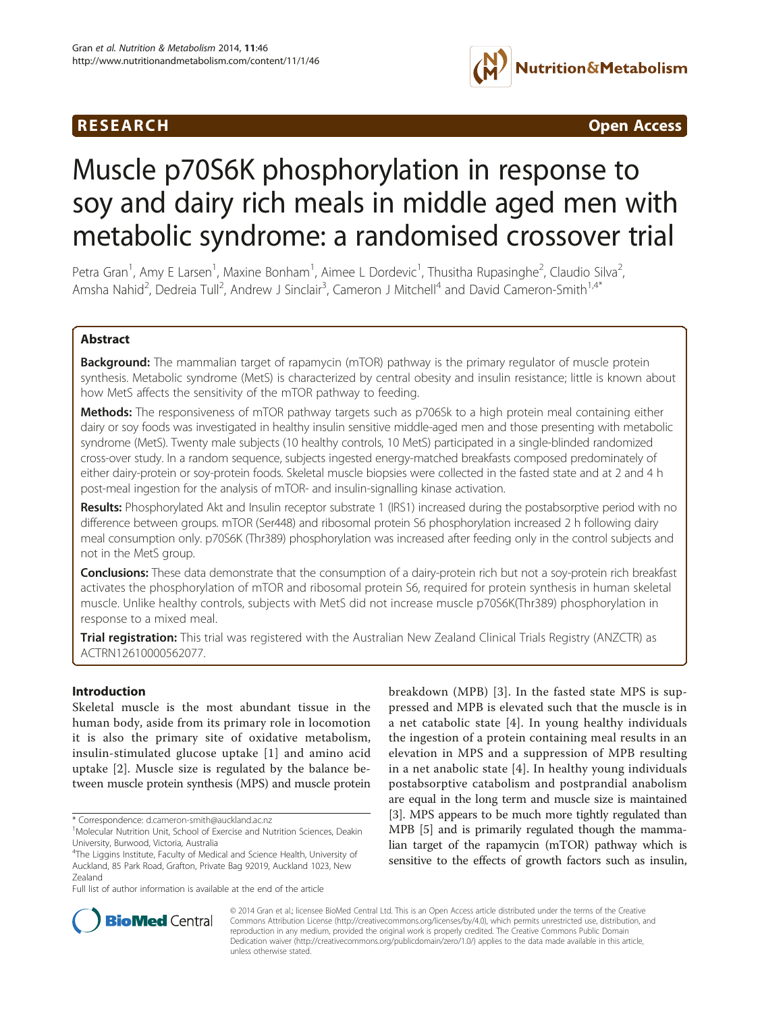## **RESEARCH CHINESE ARCH CHINESE ARCH CHINESE ARCH**



# Muscle p70S6K phosphorylation in response to soy and dairy rich meals in middle aged men with metabolic syndrome: a randomised crossover trial

Petra Gran<sup>1</sup>, Amy E Larsen<sup>1</sup>, Maxine Bonham<sup>1</sup>, Aimee L Dordevic<sup>1</sup>, Thusitha Rupasinghe<sup>2</sup>, Claudio Silva<sup>2</sup> , Amsha Nahid<sup>2</sup>, Dedreia Tull<sup>2</sup>, Andrew J Sinclair<sup>3</sup>, Cameron J Mitchell<sup>4</sup> and David Cameron-Smith<sup>1,4\*</sup>

## Abstract

**Background:** The mammalian target of rapamycin (mTOR) pathway is the primary regulator of muscle protein synthesis. Metabolic syndrome (MetS) is characterized by central obesity and insulin resistance; little is known about how MetS affects the sensitivity of the mTOR pathway to feeding.

Methods: The responsiveness of mTOR pathway targets such as p706Sk to a high protein meal containing either dairy or soy foods was investigated in healthy insulin sensitive middle-aged men and those presenting with metabolic syndrome (MetS). Twenty male subjects (10 healthy controls, 10 MetS) participated in a single-blinded randomized cross-over study. In a random sequence, subjects ingested energy-matched breakfasts composed predominately of either dairy-protein or soy-protein foods. Skeletal muscle biopsies were collected in the fasted state and at 2 and 4 h post-meal ingestion for the analysis of mTOR- and insulin-signalling kinase activation.

Results: Phosphorylated Akt and Insulin receptor substrate 1 (IRS1) increased during the postabsorptive period with no difference between groups. mTOR (Ser448) and ribosomal protein S6 phosphorylation increased 2 h following dairy meal consumption only. p70S6K (Thr389) phosphorylation was increased after feeding only in the control subjects and not in the MetS group.

Conclusions: These data demonstrate that the consumption of a dairy-protein rich but not a soy-protein rich breakfast activates the phosphorylation of mTOR and ribosomal protein S6, required for protein synthesis in human skeletal muscle. Unlike healthy controls, subjects with MetS did not increase muscle p70S6K(Thr389) phosphorylation in response to a mixed meal.

Trial registration: This trial was registered with the Australian New Zealand Clinical Trials Registry (ANZCTR) as [ACTRN12610000562077](https://www.anzctr.org.au/Trial/Registration/TrialReview.aspx?ACTRN=12610000562077).

## Introduction

Skeletal muscle is the most abundant tissue in the human body, aside from its primary role in locomotion it is also the primary site of oxidative metabolism, insulin-stimulated glucose uptake [[1](#page-11-0)] and amino acid uptake [[2\]](#page-11-0). Muscle size is regulated by the balance between muscle protein synthesis (MPS) and muscle protein

\* Correspondence: [d.cameron-smith@auckland.ac.nz](mailto:d.cameron-smith@auckland.ac.nz) <sup>1</sup>

breakdown (MPB) [[3\]](#page-11-0). In the fasted state MPS is suppressed and MPB is elevated such that the muscle is in a net catabolic state [[4\]](#page-12-0). In young healthy individuals the ingestion of a protein containing meal results in an elevation in MPS and a suppression of MPB resulting in a net anabolic state [\[4](#page-12-0)]. In healthy young individuals postabsorptive catabolism and postprandial anabolism are equal in the long term and muscle size is maintained [[3\]](#page-11-0). MPS appears to be much more tightly regulated than MPB [[5\]](#page-12-0) and is primarily regulated though the mammalian target of the rapamycin (mTOR) pathway which is sensitive to the effects of growth factors such as insulin,



© 2014 Gran et al.; licensee BioMed Central Ltd. This is an Open Access article distributed under the terms of the Creative Commons Attribution License [\(http://creativecommons.org/licenses/by/4.0\)](http://creativecommons.org/licenses/by/4.0), which permits unrestricted use, distribution, and reproduction in any medium, provided the original work is properly credited. The Creative Commons Public Domain Dedication waiver [\(http://creativecommons.org/publicdomain/zero/1.0/](http://creativecommons.org/publicdomain/zero/1.0/)) applies to the data made available in this article, unless otherwise stated.

<sup>&</sup>lt;sup>1</sup>Molecular Nutrition Unit, School of Exercise and Nutrition Sciences, Deakin University, Burwood, Victoria, Australia

<sup>&</sup>lt;sup>4</sup>The Liggins Institute, Faculty of Medical and Science Health, University of Auckland, 85 Park Road, Grafton, Private Bag 92019, Auckland 1023, New Zealand

Full list of author information is available at the end of the article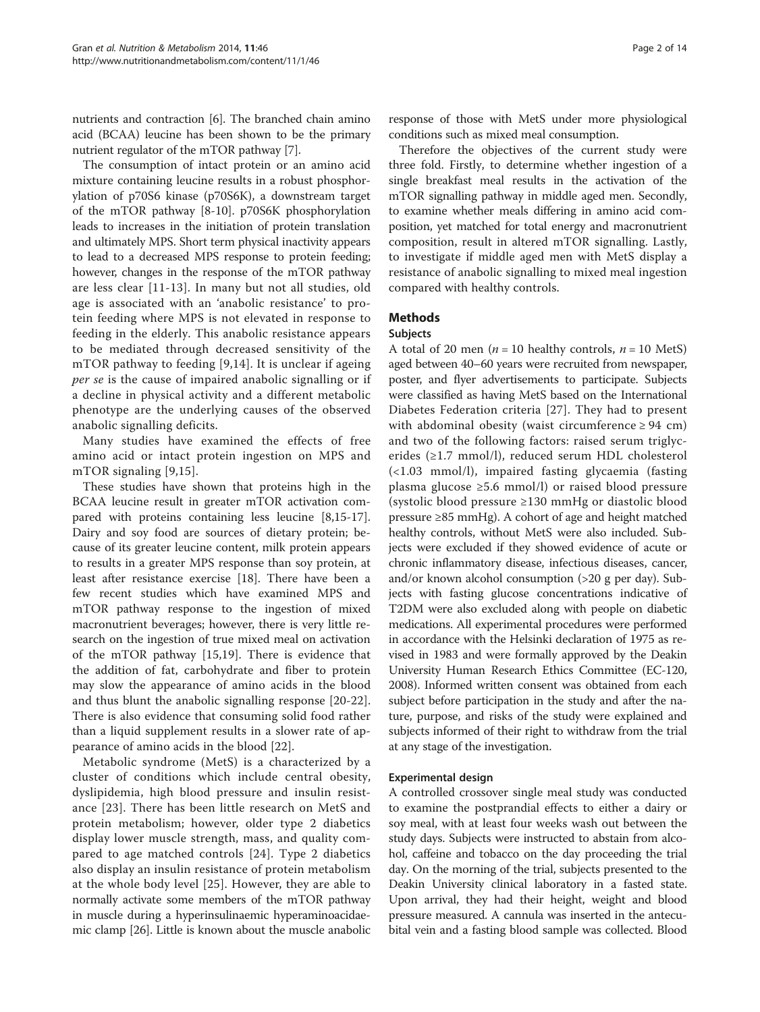nutrients and contraction [[6\]](#page-12-0). The branched chain amino acid (BCAA) leucine has been shown to be the primary nutrient regulator of the mTOR pathway [[7\]](#page-12-0).

The consumption of intact protein or an amino acid mixture containing leucine results in a robust phosphorylation of p70S6 kinase (p70S6K), a downstream target of the mTOR pathway [\[8](#page-12-0)-[10\]](#page-12-0). p70S6K phosphorylation leads to increases in the initiation of protein translation and ultimately MPS. Short term physical inactivity appears to lead to a decreased MPS response to protein feeding; however, changes in the response of the mTOR pathway are less clear [[11-13\]](#page-12-0). In many but not all studies, old age is associated with an 'anabolic resistance' to protein feeding where MPS is not elevated in response to feeding in the elderly. This anabolic resistance appears to be mediated through decreased sensitivity of the mTOR pathway to feeding [[9](#page-12-0),[14\]](#page-12-0). It is unclear if ageing per se is the cause of impaired anabolic signalling or if a decline in physical activity and a different metabolic phenotype are the underlying causes of the observed anabolic signalling deficits.

Many studies have examined the effects of free amino acid or intact protein ingestion on MPS and mTOR signaling [\[9,15](#page-12-0)].

These studies have shown that proteins high in the BCAA leucine result in greater mTOR activation compared with proteins containing less leucine [[8,15-17](#page-12-0)]. Dairy and soy food are sources of dietary protein; because of its greater leucine content, milk protein appears to results in a greater MPS response than soy protein, at least after resistance exercise [\[18\]](#page-12-0). There have been a few recent studies which have examined MPS and mTOR pathway response to the ingestion of mixed macronutrient beverages; however, there is very little research on the ingestion of true mixed meal on activation of the mTOR pathway [[15,19\]](#page-12-0). There is evidence that the addition of fat, carbohydrate and fiber to protein may slow the appearance of amino acids in the blood and thus blunt the anabolic signalling response [\[20-22](#page-12-0)]. There is also evidence that consuming solid food rather than a liquid supplement results in a slower rate of appearance of amino acids in the blood [\[22](#page-12-0)].

Metabolic syndrome (MetS) is a characterized by a cluster of conditions which include central obesity, dyslipidemia, high blood pressure and insulin resistance [[23](#page-12-0)]. There has been little research on MetS and protein metabolism; however, older type 2 diabetics display lower muscle strength, mass, and quality compared to age matched controls [[24\]](#page-12-0). Type 2 diabetics also display an insulin resistance of protein metabolism at the whole body level [\[25\]](#page-12-0). However, they are able to normally activate some members of the mTOR pathway in muscle during a hyperinsulinaemic hyperaminoacidaemic clamp [[26](#page-12-0)]. Little is known about the muscle anabolic

response of those with MetS under more physiological conditions such as mixed meal consumption.

Therefore the objectives of the current study were three fold. Firstly, to determine whether ingestion of a single breakfast meal results in the activation of the mTOR signalling pathway in middle aged men. Secondly, to examine whether meals differing in amino acid composition, yet matched for total energy and macronutrient composition, result in altered mTOR signalling. Lastly, to investigate if middle aged men with MetS display a resistance of anabolic signalling to mixed meal ingestion compared with healthy controls.

## **Methods**

## Subjects

A total of 20 men ( $n = 10$  healthy controls,  $n = 10$  MetS) aged between 40–60 years were recruited from newspaper, poster, and flyer advertisements to participate. Subjects were classified as having MetS based on the International Diabetes Federation criteria [\[27\]](#page-12-0). They had to present with abdominal obesity (waist circumference  $\geq 94$  cm) and two of the following factors: raised serum triglycerides (≥1.7 mmol/l), reduced serum HDL cholesterol (<1.03 mmol/l), impaired fasting glycaemia (fasting plasma glucose ≥5.6 mmol/l) or raised blood pressure (systolic blood pressure ≥130 mmHg or diastolic blood pressure ≥85 mmHg). A cohort of age and height matched healthy controls, without MetS were also included. Subjects were excluded if they showed evidence of acute or chronic inflammatory disease, infectious diseases, cancer, and/or known alcohol consumption (>20 g per day). Subjects with fasting glucose concentrations indicative of T2DM were also excluded along with people on diabetic medications. All experimental procedures were performed in accordance with the Helsinki declaration of 1975 as revised in 1983 and were formally approved by the Deakin University Human Research Ethics Committee (EC-120, 2008). Informed written consent was obtained from each subject before participation in the study and after the nature, purpose, and risks of the study were explained and subjects informed of their right to withdraw from the trial at any stage of the investigation.

#### Experimental design

A controlled crossover single meal study was conducted to examine the postprandial effects to either a dairy or soy meal, with at least four weeks wash out between the study days. Subjects were instructed to abstain from alcohol, caffeine and tobacco on the day proceeding the trial day. On the morning of the trial, subjects presented to the Deakin University clinical laboratory in a fasted state. Upon arrival, they had their height, weight and blood pressure measured. A cannula was inserted in the antecubital vein and a fasting blood sample was collected. Blood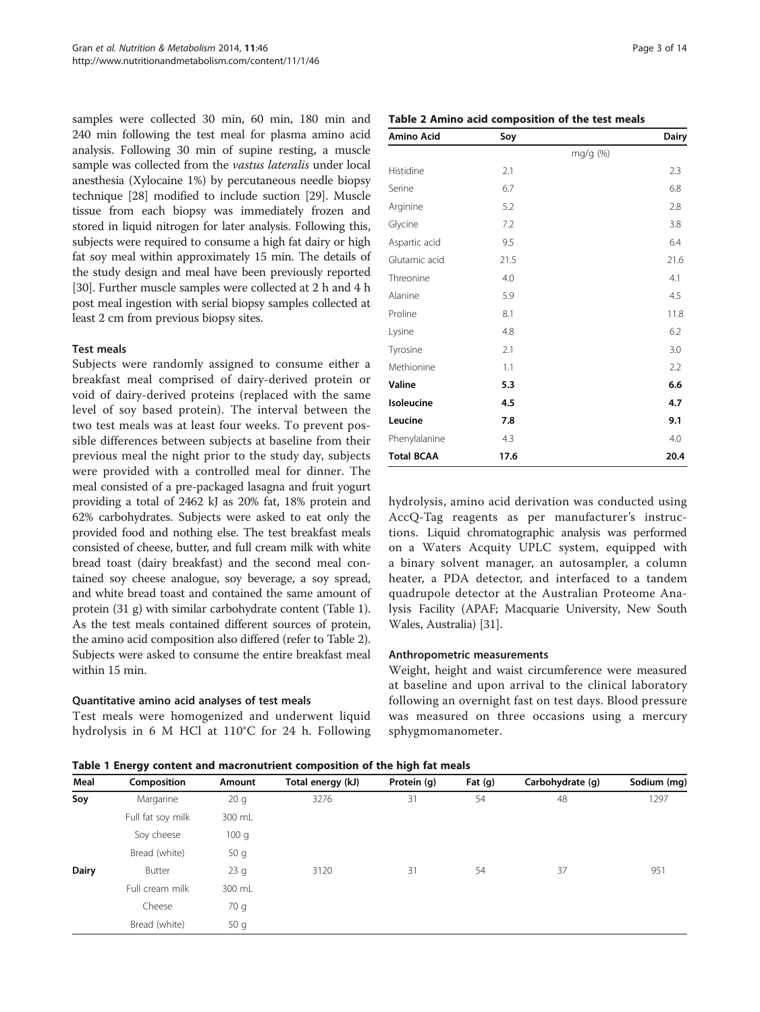<span id="page-2-0"></span>samples were collected 30 min, 60 min, 180 min and 240 min following the test meal for plasma amino acid analysis. Following 30 min of supine resting, a muscle sample was collected from the vastus lateralis under local anesthesia (Xylocaine 1%) by percutaneous needle biopsy technique [[28](#page-12-0)] modified to include suction [\[29](#page-12-0)]. Muscle tissue from each biopsy was immediately frozen and stored in liquid nitrogen for later analysis. Following this, subjects were required to consume a high fat dairy or high fat soy meal within approximately 15 min. The details of the study design and meal have been previously reported [[30](#page-12-0)]. Further muscle samples were collected at 2 h and 4 h post meal ingestion with serial biopsy samples collected at least 2 cm from previous biopsy sites.

#### Test meals

Subjects were randomly assigned to consume either a breakfast meal comprised of dairy-derived protein or void of dairy-derived proteins (replaced with the same level of soy based protein). The interval between the two test meals was at least four weeks. To prevent possible differences between subjects at baseline from their previous meal the night prior to the study day, subjects were provided with a controlled meal for dinner. The meal consisted of a pre-packaged lasagna and fruit yogurt providing a total of 2462 kJ as 20% fat, 18% protein and 62% carbohydrates. Subjects were asked to eat only the provided food and nothing else. The test breakfast meals consisted of cheese, butter, and full cream milk with white bread toast (dairy breakfast) and the second meal contained soy cheese analogue, soy beverage, a soy spread, and white bread toast and contained the same amount of protein (31 g) with similar carbohydrate content (Table 1). As the test meals contained different sources of protein, the amino acid composition also differed (refer to Table 2). Subjects were asked to consume the entire breakfast meal within 15 min.

#### Quantitative amino acid analyses of test meals

Test meals were homogenized and underwent liquid hydrolysis in 6 M HCl at 110°C for 24 h. Following

| Page 3 of 14 |  |  |
|--------------|--|--|
|--------------|--|--|

#### Table 2 Amino acid composition of the test meals

| Amino Acid        | Soy  |          | <b>Dairy</b> |
|-------------------|------|----------|--------------|
|                   |      | mg/g (%) |              |
| Histidine         | 2.1  |          | 2.3          |
| Serine            | 6.7  |          | 6.8          |
| Arginine          | 5.2  |          | 2.8          |
| Glycine           | 7.2  |          | 3.8          |
| Aspartic acid     | 9.5  |          | 6.4          |
| Glutamic acid     | 21.5 |          | 21.6         |
| Threonine         | 4.0  |          | 4.1          |
| Alanine           | 5.9  |          | 4.5          |
| Proline           | 8.1  |          | 11.8         |
| Lysine            | 4.8  |          | 6.2          |
| Tyrosine          | 2.1  |          | 3.0          |
| Methionine        | 1.1  |          | 2.2          |
| Valine            | 5.3  |          | 6.6          |
| Isoleucine        | 4.5  |          | 4.7          |
| Leucine           | 7.8  |          | 9.1          |
| Phenylalanine     | 4.3  |          | 4.0          |
| <b>Total BCAA</b> | 17.6 |          | 20.4         |

hydrolysis, amino acid derivation was conducted using AccQ-Tag reagents as per manufacturer's instructions. Liquid chromatographic analysis was performed on a Waters Acquity UPLC system, equipped with a binary solvent manager, an autosampler, a column heater, a PDA detector, and interfaced to a tandem quadrupole detector at the Australian Proteome Analysis Facility (APAF; Macquarie University, New South Wales, Australia) [\[31\]](#page-12-0).

#### Anthropometric measurements

Weight, height and waist circumference were measured at baseline and upon arrival to the clinical laboratory following an overnight fast on test days. Blood pressure was measured on three occasions using a mercury sphygmomanometer.

|  |  |  |  |  | Table 1 Energy content and macronutrient composition of the high fat meals |
|--|--|--|--|--|----------------------------------------------------------------------------|
|--|--|--|--|--|----------------------------------------------------------------------------|

| Meal         | Composition       | Amount | Total energy (kJ) | Protein (g) | Fat $(g)$ | Carbohydrate (g) | Sodium (mg) |
|--------------|-------------------|--------|-------------------|-------------|-----------|------------------|-------------|
| Soy          | Margarine         | 20q    | 3276              | 31          | 54        | 48               | 1297        |
|              | Full fat soy milk | 300 mL |                   |             |           |                  |             |
|              | Soy cheese        | 100q   |                   |             |           |                  |             |
|              | Bread (white)     | 50q    |                   |             |           |                  |             |
| <b>Dairy</b> | Butter            | 23q    | 3120              | 31          | 54        | 37               | 951         |
|              | Full cream milk   | 300 mL |                   |             |           |                  |             |
|              | Cheese            | 70 g   |                   |             |           |                  |             |
|              | Bread (white)     | 50q    |                   |             |           |                  |             |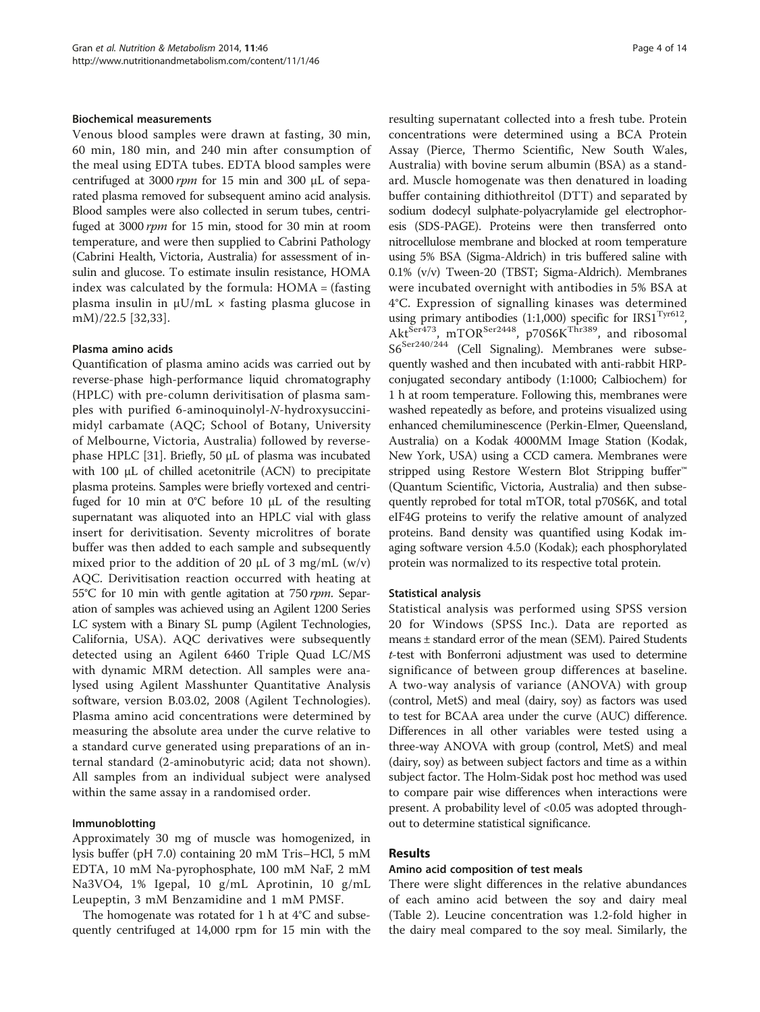#### Biochemical measurements

Venous blood samples were drawn at fasting, 30 min, 60 min, 180 min, and 240 min after consumption of the meal using EDTA tubes. EDTA blood samples were centrifuged at 3000 rpm for 15 min and 300  $\mu$ L of separated plasma removed for subsequent amino acid analysis. Blood samples were also collected in serum tubes, centrifuged at 3000 rpm for 15 min, stood for 30 min at room temperature, and were then supplied to Cabrini Pathology (Cabrini Health, Victoria, Australia) for assessment of insulin and glucose. To estimate insulin resistance, HOMA index was calculated by the formula: HOMA = (fasting plasma insulin in  $\mu$ U/mL  $\times$  fasting plasma glucose in mM)/22.5 [[32](#page-12-0),[33\]](#page-12-0).

#### Plasma amino acids

Quantification of plasma amino acids was carried out by reverse-phase high-performance liquid chromatography (HPLC) with pre-column derivitisation of plasma samples with purified 6-aminoquinolyl-N-hydroxysuccinimidyl carbamate (AQC; School of Botany, University of Melbourne, Victoria, Australia) followed by reversephase HPLC [\[31\]](#page-12-0). Briefly, 50 μL of plasma was incubated with 100 μL of chilled acetonitrile (ACN) to precipitate plasma proteins. Samples were briefly vortexed and centrifuged for 10 min at 0°C before 10 μL of the resulting supernatant was aliquoted into an HPLC vial with glass insert for derivitisation. Seventy microlitres of borate buffer was then added to each sample and subsequently mixed prior to the addition of 20  $\mu$ L of 3 mg/mL (w/v) AQC. Derivitisation reaction occurred with heating at 55°C for 10 min with gentle agitation at 750 rpm. Separation of samples was achieved using an Agilent 1200 Series LC system with a Binary SL pump (Agilent Technologies, California, USA). AQC derivatives were subsequently detected using an Agilent 6460 Triple Quad LC/MS with dynamic MRM detection. All samples were analysed using Agilent Masshunter Quantitative Analysis software, version B.03.02, 2008 (Agilent Technologies). Plasma amino acid concentrations were determined by measuring the absolute area under the curve relative to a standard curve generated using preparations of an internal standard (2-aminobutyric acid; data not shown). All samples from an individual subject were analysed within the same assay in a randomised order.

## Immunoblotting

Approximately 30 mg of muscle was homogenized, in lysis buffer (pH 7.0) containing 20 mM Tris–HCl, 5 mM EDTA, 10 mM Na-pyrophosphate, 100 mM NaF, 2 mM Na3VO4, 1% Igepal, 10 g/mL Aprotinin, 10 g/mL Leupeptin, 3 mM Benzamidine and 1 mM PMSF.

The homogenate was rotated for 1 h at 4°C and subsequently centrifuged at 14,000 rpm for 15 min with the

resulting supernatant collected into a fresh tube. Protein concentrations were determined using a BCA Protein Assay (Pierce, Thermo Scientific, New South Wales, Australia) with bovine serum albumin (BSA) as a standard. Muscle homogenate was then denatured in loading buffer containing dithiothreitol (DTT) and separated by sodium dodecyl sulphate-polyacrylamide gel electrophoresis (SDS-PAGE). Proteins were then transferred onto nitrocellulose membrane and blocked at room temperature using 5% BSA (Sigma-Aldrich) in tris buffered saline with 0.1% (v/v) Tween-20 (TBST; Sigma-Aldrich). Membranes were incubated overnight with antibodies in 5% BSA at 4°C. Expression of signalling kinases was determined using primary antibodies (1:1,000) specific for  $IRS1<sup>Tyr612</sup>$ , Akt<sup>Ser473</sup>, mTOR<sup>Ser2448</sup>, p70S6K<sup>Thr389</sup>, and ribosomal S6Ser240/244 (Cell Signaling). Membranes were subsequently washed and then incubated with anti-rabbit HRPconjugated secondary antibody (1:1000; Calbiochem) for 1 h at room temperature. Following this, membranes were washed repeatedly as before, and proteins visualized using enhanced chemiluminescence (Perkin-Elmer, Queensland, Australia) on a Kodak 4000MM Image Station (Kodak, New York, USA) using a CCD camera. Membranes were stripped using Restore Western Blot Stripping buffer<sup>™</sup> (Quantum Scientific, Victoria, Australia) and then subsequently reprobed for total mTOR, total p70S6K, and total eIF4G proteins to verify the relative amount of analyzed proteins. Band density was quantified using Kodak imaging software version 4.5.0 (Kodak); each phosphorylated protein was normalized to its respective total protein.

#### Statistical analysis

Statistical analysis was performed using SPSS version 20 for Windows (SPSS Inc.). Data are reported as means ± standard error of the mean (SEM). Paired Students t-test with Bonferroni adjustment was used to determine significance of between group differences at baseline. A two-way analysis of variance (ANOVA) with group (control, MetS) and meal (dairy, soy) as factors was used to test for BCAA area under the curve (AUC) difference. Differences in all other variables were tested using a three-way ANOVA with group (control, MetS) and meal (dairy, soy) as between subject factors and time as a within subject factor. The Holm-Sidak post hoc method was used to compare pair wise differences when interactions were present. A probability level of <0.05 was adopted throughout to determine statistical significance.

#### Results

#### Amino acid composition of test meals

There were slight differences in the relative abundances of each amino acid between the soy and dairy meal (Table [2](#page-2-0)). Leucine concentration was 1.2-fold higher in the dairy meal compared to the soy meal. Similarly, the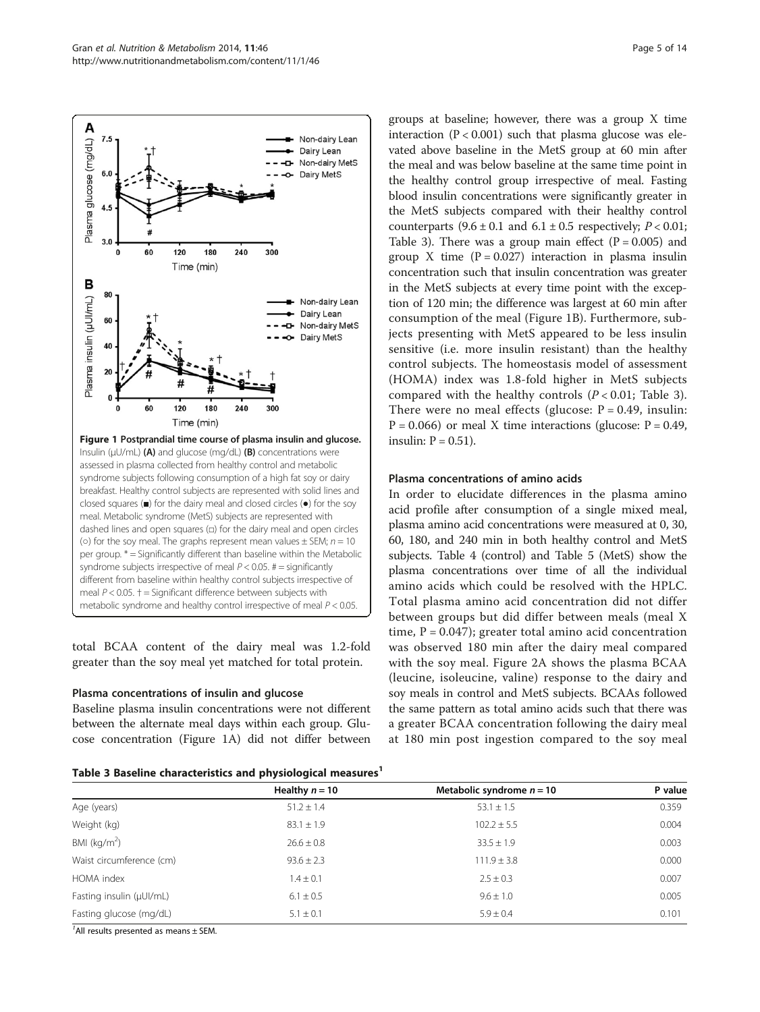

total BCAA content of the dairy meal was 1.2-fold greater than the soy meal yet matched for total protein.

## Plasma concentrations of insulin and glucose

Baseline plasma insulin concentrations were not different between the alternate meal days within each group. Glucose concentration (Figure 1A) did not differ between

groups at baseline; however, there was a group X time interaction  $(P < 0.001)$  such that plasma glucose was elevated above baseline in the MetS group at 60 min after the meal and was below baseline at the same time point in the healthy control group irrespective of meal. Fasting blood insulin concentrations were significantly greater in the MetS subjects compared with their healthy control counterparts  $(9.6 \pm 0.1$  and  $6.1 \pm 0.5$  respectively;  $P < 0.01$ ; Table 3). There was a group main effect  $(P = 0.005)$  and group X time  $(P = 0.027)$  interaction in plasma insulin concentration such that insulin concentration was greater in the MetS subjects at every time point with the exception of 120 min; the difference was largest at 60 min after consumption of the meal (Figure 1B). Furthermore, subjects presenting with MetS appeared to be less insulin sensitive (i.e. more insulin resistant) than the healthy control subjects. The homeostasis model of assessment (HOMA) index was 1.8-fold higher in MetS subjects compared with the healthy controls  $(P < 0.01$ ; Table 3). There were no meal effects (glucose:  $P = 0.49$ , insulin:  $P = 0.066$ ) or meal X time interactions (glucose:  $P = 0.49$ , insulin:  $P = 0.51$ ).

## Plasma concentrations of amino acids

In order to elucidate differences in the plasma amino acid profile after consumption of a single mixed meal, plasma amino acid concentrations were measured at 0, 30, 60, 180, and 240 min in both healthy control and MetS subjects. Table [4](#page-5-0) (control) and Table [5](#page-6-0) (MetS) show the plasma concentrations over time of all the individual amino acids which could be resolved with the HPLC. Total plasma amino acid concentration did not differ between groups but did differ between meals (meal X time,  $P = 0.047$ ); greater total amino acid concentration was observed 180 min after the dairy meal compared with the soy meal. Figure [2A](#page-7-0) shows the plasma BCAA (leucine, isoleucine, valine) response to the dairy and soy meals in control and MetS subjects. BCAAs followed the same pattern as total amino acids such that there was a greater BCAA concentration following the dairy meal at 180 min post ingestion compared to the soy meal

|  |  | Table 3 Baseline characteristics and physiological measures <sup>1</sup> |  |  |  |
|--|--|--------------------------------------------------------------------------|--|--|--|
|--|--|--------------------------------------------------------------------------|--|--|--|

|                          | Healthy $n = 10$ | Metabolic syndrome $n = 10$ | P value |
|--------------------------|------------------|-----------------------------|---------|
| Age (years)              | $51.2 \pm 1.4$   | $53.1 \pm 1.5$              | 0.359   |
| Weight (kg)              | $83.1 \pm 1.9$   | $102.2 \pm 5.5$             | 0.004   |
| BMI ( $kg/m2$ )          | $26.6 \pm 0.8$   | $33.5 \pm 1.9$              | 0.003   |
| Waist circumference (cm) | $93.6 \pm 2.3$   | $111.9 \pm 3.8$             | 0.000   |
| HOMA index               | $1.4 \pm 0.1$    | $2.5 \pm 0.3$               | 0.007   |
| Fasting insulin (µUI/mL) | $6.1 \pm 0.5$    | $9.6 \pm 1.0$               | 0.005   |
| Fasting glucose (mg/dL)  | $5.1 \pm 0.1$    | $5.9 \pm 0.4$               | 0.101   |

 $<sup>7</sup>$  All results presented as means  $\pm$  SEM.</sup>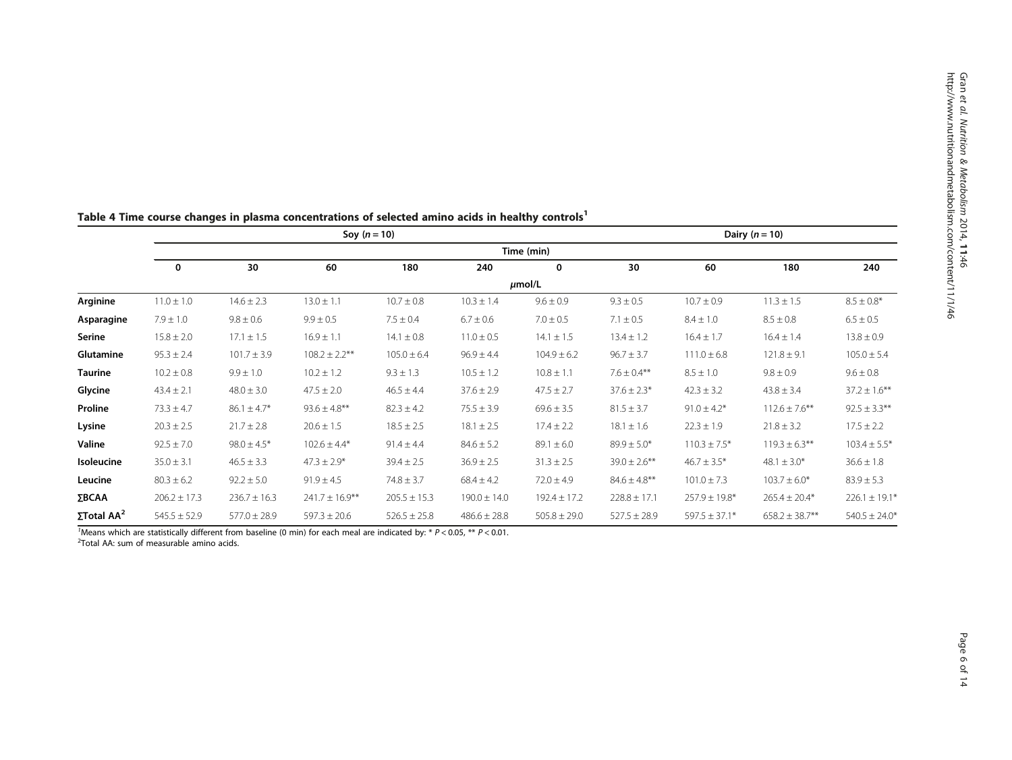|                                |                  |                  | Soy $(n=10)$        |                  |                  |                  | Dairy $(n = 10)$  |                    |                     |                   |  |
|--------------------------------|------------------|------------------|---------------------|------------------|------------------|------------------|-------------------|--------------------|---------------------|-------------------|--|
|                                | Time (min)       |                  |                     |                  |                  |                  |                   |                    |                     |                   |  |
|                                | 0                | 30               | 60                  | 180              | 240              | $\mathbf 0$      | 30                | 60                 | 180                 | 240               |  |
|                                |                  |                  |                     |                  |                  | $\mu$ mol/L      |                   |                    |                     |                   |  |
| Arginine                       | $11.0 \pm 1.0$   | $14.6 \pm 2.3$   | $13.0 \pm 1.1$      | $10.7 \pm 0.8$   | $10.3 \pm 1.4$   | $9.6 \pm 0.9$    | $9.3 \pm 0.5$     | $10.7 \pm 0.9$     | $11.3 \pm 1.5$      | $8.5 \pm 0.8*$    |  |
| Asparagine                     | $7.9 \pm 1.0$    | $9.8 \pm 0.6$    | $9.9 \pm 0.5$       | $7.5 \pm 0.4$    | $6.7 \pm 0.6$    | $7.0 \pm 0.5$    | $7.1 \pm 0.5$     | $8.4 \pm 1.0$      | $8.5 \pm 0.8$       | $6.5 \pm 0.5$     |  |
| Serine                         | $15.8 \pm 2.0$   | $17.1 \pm 1.5$   | $16.9 \pm 1.1$      | $14.1 \pm 0.8$   | $11.0 \pm 0.5$   | $14.1 \pm 1.5$   | $13.4 \pm 1.2$    | $16.4 \pm 1.7$     | $16.4 \pm 1.4$      | $13.8 \pm 0.9$    |  |
| Glutamine                      | $95.3 \pm 2.4$   | $101.7 \pm 3.9$  | $108.2 \pm 2.2$ **  | $105.0 \pm 6.4$  | $96.9 \pm 4.4$   | $104.9 \pm 6.2$  | $96.7 \pm 3.7$    | $111.0 \pm 6.8$    | $121.8 \pm 9.1$     | $105.0 \pm 5.4$   |  |
| <b>Taurine</b>                 | $10.2 \pm 0.8$   | $9.9 \pm 1.0$    | $10.2 \pm 1.2$      | $9.3 \pm 1.3$    | $10.5 \pm 1.2$   | $10.8 \pm 1.1$   | $7.6 \pm 0.4***$  | $8.5 \pm 1.0$      | $9.8 \pm 0.9$       | $9.6 \pm 0.8$     |  |
| Glycine                        | $43.4 \pm 2.1$   | $48.0 \pm 3.0$   | $47.5 \pm 2.0$      | $46.5 \pm 4.4$   | $37.6 \pm 2.9$   | $47.5 \pm 2.7$   | $37.6 \pm 2.3*$   | $42.3 \pm 3.2$     | $43.8 \pm 3.4$      | $37.2 \pm 1.6***$ |  |
| Proline                        | $73.3 \pm 4.7$   | $86.1 \pm 4.7*$  | $93.6 \pm 4.8***$   | $82.3 \pm 4.2$   | $75.5 \pm 3.9$   | $69.6 \pm 3.5$   | $81.5 \pm 3.7$    | $91.0 \pm 4.2*$    | $112.6 \pm 7.6***$  | $92.5 \pm 3.3$ ** |  |
| Lysine                         | $20.3 \pm 2.5$   | $21.7 \pm 2.8$   | $20.6 \pm 1.5$      | $18.5 \pm 2.5$   | $18.1 \pm 2.5$   | $17.4 \pm 2.2$   | $18.1 \pm 1.6$    | $22.3 \pm 1.9$     | $21.8 \pm 3.2$      | $17.5 \pm 2.2$    |  |
| Valine                         | $92.5 \pm 7.0$   | $98.0 \pm 4.5*$  | $102.6 \pm 4.4*$    | $91.4 \pm 4.4$   | $84.6 \pm 5.2$   | $89.1 \pm 6.0$   | $89.9 \pm 5.0*$   | $110.3 \pm 7.5*$   | $119.3 \pm 6.3$ **  | $103.4 \pm 5.5*$  |  |
| Isoleucine                     | $35.0 \pm 3.1$   | $46.5 \pm 3.3$   | $47.3 \pm 2.9*$     | $39.4 \pm 2.5$   | $36.9 \pm 2.5$   | $31.3 \pm 2.5$   | $39.0 \pm 2.6***$ | $46.7 \pm 3.5*$    | $48.1 \pm 3.0*$     | $36.6 \pm 1.8$    |  |
| Leucine                        | $80.3 \pm 6.2$   | $92.2 \pm 5.0$   | $91.9 \pm 4.5$      | $74.8 \pm 3.7$   | $68.4 \pm 4.2$   | $72.0 \pm 4.9$   | $84.6 \pm 4.8***$ | $101.0 \pm 7.3$    | $103.7 \pm 6.0*$    | $83.9 \pm 5.3$    |  |
| ΣΒΣΑΑ                          | $206.2 \pm 17.3$ | $236.7 \pm 16.3$ | $241.7 \pm 16.9***$ | $205.5 \pm 15.3$ | $190.0 \pm 14.0$ | $192.4 \pm 17.2$ | $228.8 \pm 17.1$  | $257.9 \pm 19.8$ * | $265.4 \pm 20.4*$   | $226.1 \pm 19.1*$ |  |
| $\Sigma$ Total AA <sup>2</sup> | $545.5 \pm 52.9$ | $577.0 \pm 28.9$ | $597.3 \pm 20.6$    | $526.5 \pm 25.8$ | $486.6 \pm 28.8$ | $505.8 \pm 29.0$ | $527.5 \pm 28.9$  | $597.5 \pm 37.1*$  | $658.2 \pm 38.7***$ | $540.5 \pm 24.0*$ |  |

<span id="page-5-0"></span>Table 4 Time course changes in plasma concentrations of selected amino acids in healthy controls<sup>1</sup>

<sup>7</sup> Means which are statistically different from baseline (0 min) for each meal are indicated by: \*  $P < 0.05$ , \*\*  $P < 0.01$ .<br><sup>2</sup>Total AA: sum of maasurable amino acide

<sup>2</sup>Total AA: sum of measurable amino acids.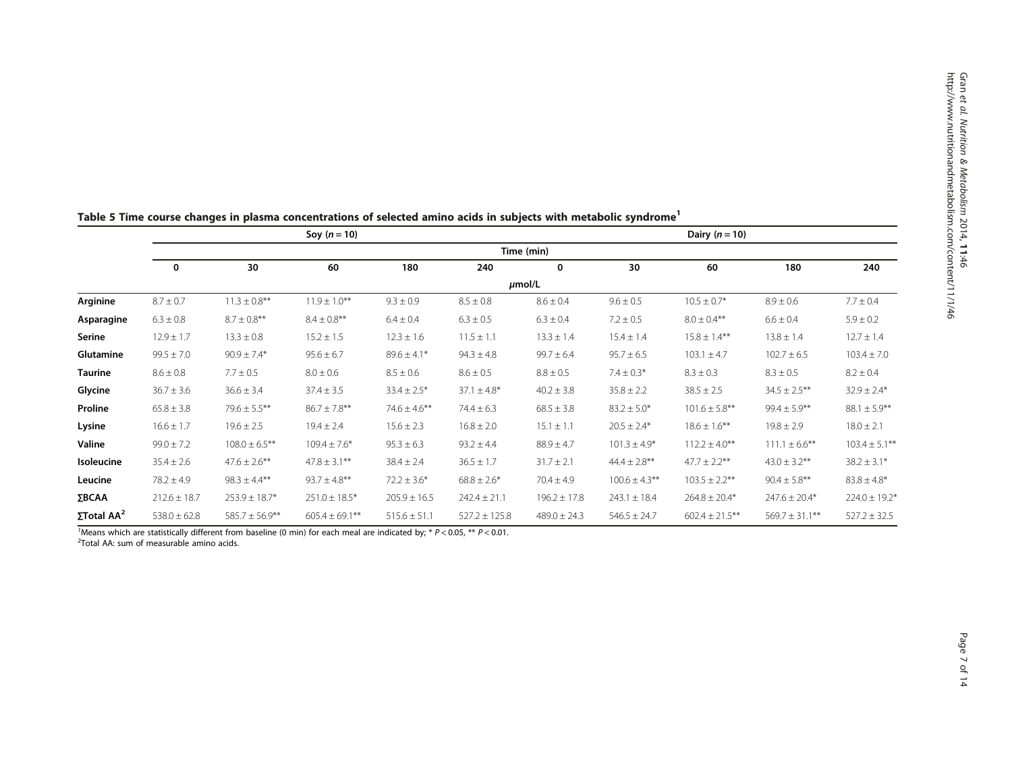Gran et al.

|                                |                  |                     | Soy $(n = 10)$      |                   |                   |                  |                    | Dairy $(n = 10)$    |                     |                               |
|--------------------------------|------------------|---------------------|---------------------|-------------------|-------------------|------------------|--------------------|---------------------|---------------------|-------------------------------|
|                                | Time (min)       |                     |                     |                   |                   |                  |                    |                     |                     |                               |
|                                | 0                | 30                  | 60                  | 180               | 240               | 0                | 30                 | 60                  | 180                 | 240                           |
|                                |                  |                     |                     |                   |                   | $\mu$ mol/L      |                    |                     |                     |                               |
| Arginine                       | $8.7 \pm 0.7$    | $11.3 \pm 0.8***$   | $11.9 \pm 1.0***$   | $9.3 \pm 0.9$     | $8.5 \pm 0.8$     | $8.6 \pm 0.4$    | $9.6 \pm 0.5$      | $10.5 \pm 0.7*$     | $8.9 \pm 0.6$       | $7.7 \pm 0.4$                 |
| Asparagine                     | $6.3 \pm 0.8$    | $8.7 \pm 0.8$ **    | $8.4 \pm 0.8***$    | $6.4 \pm 0.4$     | $6.3 \pm 0.5$     | $6.3 \pm 0.4$    | $7.2 \pm 0.5$      | $8.0 \pm 0.4$ **    | $6.6 \pm 0.4$       | $5.9 \pm 0.2$                 |
| Serine                         | $12.9 \pm 1.7$   | $13.3 \pm 0.8$      | $15.2 \pm 1.5$      | $12.3 \pm 1.6$    | $11.5 \pm 1.1$    | $13.3 \pm 1.4$   | $15.4 \pm 1.4$     | $15.8 \pm 1.4***$   | $13.8 \pm 1.4$      | $12.7 \pm 1.4$                |
| Glutamine                      | $99.5 \pm 7.0$   | $90.9 \pm 7.4*$     | $95.6 \pm 6.7$      | $89.6 \pm 4.1*$   | $94.3 \pm 4.8$    | $99.7 \pm 6.4$   | $95.7 \pm 6.5$     | $103.1 \pm 4.7$     | $102.7 \pm 6.5$     | $103.4 \pm 7.0$               |
| <b>Taurine</b>                 | $8.6 \pm 0.8$    | $7.7 \pm 0.5$       | $8.0 \pm 0.6$       | $8.5 \pm 0.6$     | $8.6 \pm 0.5$     | $8.8 \pm 0.5$    | $7.4 \pm 0.3*$     | $8.3 \pm 0.3$       | $8.3 \pm 0.5$       | $8.2 \pm 0.4$                 |
| Glycine                        | $36.7 \pm 3.6$   | $36.6 \pm 3.4$      | $37.4 \pm 3.5$      | $33.4 \pm 2.5*$   | $37.1 \pm 4.8*$   | $40.2 \pm 3.8$   | $35.8 \pm 2.2$     | $38.5 \pm 2.5$      | $34.5 \pm 2.5***$   | $32.9 \pm 2.4*$               |
| Proline                        | $65.8 \pm 3.8$   | $79.6 \pm 5.5***$   | $86.7 \pm 7.8***$   | $74.6 \pm 4.6***$ | $74.4 \pm 6.3$    | $68.5 \pm 3.8$   | $83.2 \pm 5.0*$    | $101.6 \pm 5.8***$  | $99.4 \pm 5.9***$   | $88.1 \pm 5.9***$             |
| Lysine                         | $16.6 \pm 1.7$   | $19.6 \pm 2.5$      | $19.4 \pm 2.4$      | $15.6 \pm 2.3$    | $16.8 \pm 2.0$    | $15.1 \pm 1.1$   | $20.5 \pm 2.4*$    | $18.6 \pm 1.6***$   | $19.8 \pm 2.9$      | $18.0 \pm 2.1$                |
| Valine                         | $99.0 \pm 7.2$   | $108.0 \pm 6.5***$  | $109.4 \pm 7.6*$    | $95.3 \pm 6.3$    | $93.2 \pm 4.4$    | $88.9 \pm 4.7$   | $101.3 \pm 4.9*$   | $112.2 \pm 4.0***$  | $111.1 \pm 6.6$ **  | $103.4 \pm 5.1***$            |
| Isoleucine                     | $35.4 \pm 2.6$   | $47.6 \pm 2.6$ **   | $47.8 \pm 3.1***$   | $38.4 \pm 2.4$    | $36.5 \pm 1.7$    | $31.7 \pm 2.1$   | $44.4 \pm 2.8***$  | $47.7 \pm 2.2$ **   | $43.0 \pm 3.2$ **   | $38.2 \pm 3.1*$               |
| Leucine                        | $78.2 \pm 4.9$   | $98.3 \pm 4.4***$   | $93.7 \pm 4.8***$   | $72.2 \pm 3.6*$   | $68.8 \pm 2.6*$   | $70.4 \pm 4.9$   | $100.6 \pm 4.3$ ** | $103.5 \pm 2.2$ **  | $90.4 \pm 5.8***$   | $83.8 \pm 4.8*$               |
| <b>ΣΒCAA</b>                   | $212.6 \pm 18.7$ | $253.9 \pm 18.7*$   | $251.0 \pm 18.5*$   | $205.9 \pm 16.5$  | $242.4 \pm 21.1$  | $196.2 \pm 17.8$ | $243.1 \pm 18.4$   | $264.8 \pm 20.4*$   | $247.6 \pm 20.4*$   | $224.0 \pm 19.2$ <sup>*</sup> |
| $\Sigma$ Total AA <sup>2</sup> | $538.0 \pm 62.8$ | $585.7 \pm 56.9***$ | $605.4 \pm 69.1***$ | $515.6 \pm 51.1$  | $527.2 \pm 125.8$ | $489.0 \pm 24.3$ | $546.5 \pm 24.7$   | $602.4 \pm 21.5***$ | $569.7 \pm 31.1***$ | $527.2 \pm 32.5$              |

## <span id="page-6-0"></span>Table 5 Time course changes in plasma concentrations of selected amino acids in subjects with metabolic syndrome<sup>1</sup>

<sup>7</sup> Means which are statistically different from baseline (0 min) for each meal are indicated by;  $* P < 0.05$ ,  $* P < 0.01$ .<br><sup>2</sup>Total AA: sum of maasurable amino acide

<sup>2</sup>Total AA: sum of measurable amino acids.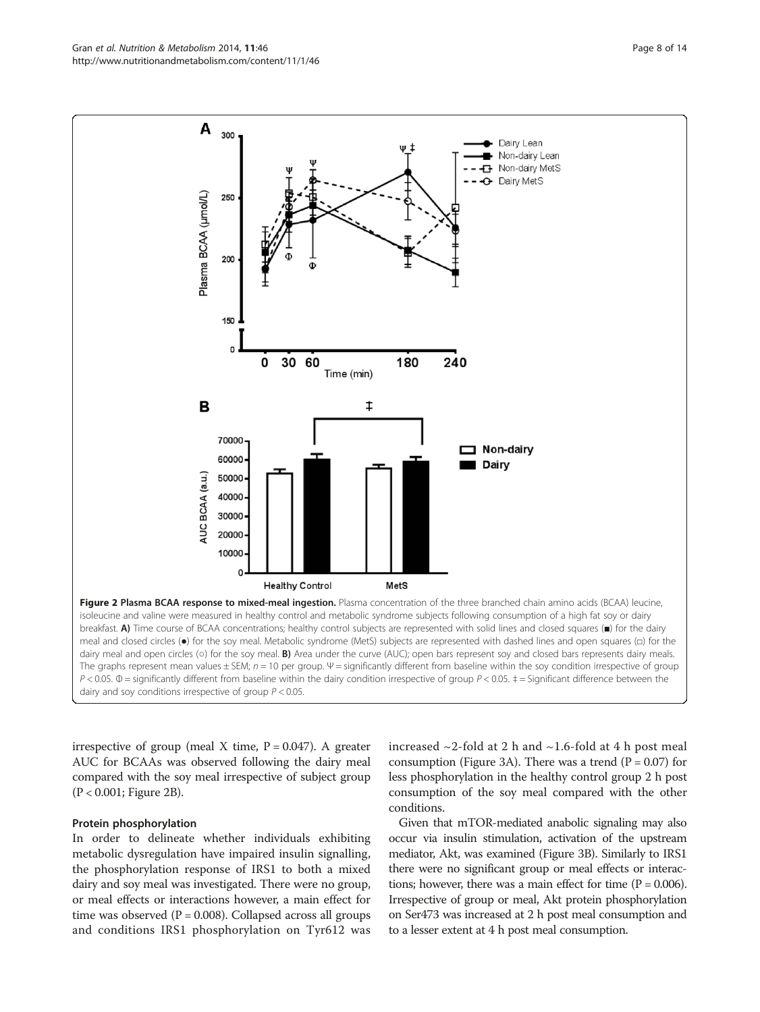irrespective of group (meal X time,  $P = 0.047$ ). A greater AUC for BCAAs was observed following the dairy meal compared with the soy meal irrespective of subject group (P < 0.001; Figure 2B).

## Protein phosphorylation

In order to delineate whether individuals exhibiting metabolic dysregulation have impaired insulin signalling, the phosphorylation response of IRS1 to both a mixed dairy and soy meal was investigated. There were no group, or meal effects or interactions however, a main effect for time was observed  $(P = 0.008)$ . Collapsed across all groups and conditions IRS1 phosphorylation on Tyr612 was

increased  $\sim$ 2-fold at 2 h and  $\sim$ 1.6-fold at 4 h post meal consumption (Figure [3](#page-8-0)A). There was a trend ( $P = 0.07$ ) for less phosphorylation in the healthy control group 2 h post consumption of the soy meal compared with the other conditions.

Given that mTOR-mediated anabolic signaling may also occur via insulin stimulation, activation of the upstream mediator, Akt, was examined (Figure [3B](#page-8-0)). Similarly to IRS1 there were no significant group or meal effects or interactions; however, there was a main effect for time  $(P = 0.006)$ . Irrespective of group or meal, Akt protein phosphorylation on Ser473 was increased at 2 h post meal consumption and to a lesser extent at 4 h post meal consumption.

<span id="page-7-0"></span>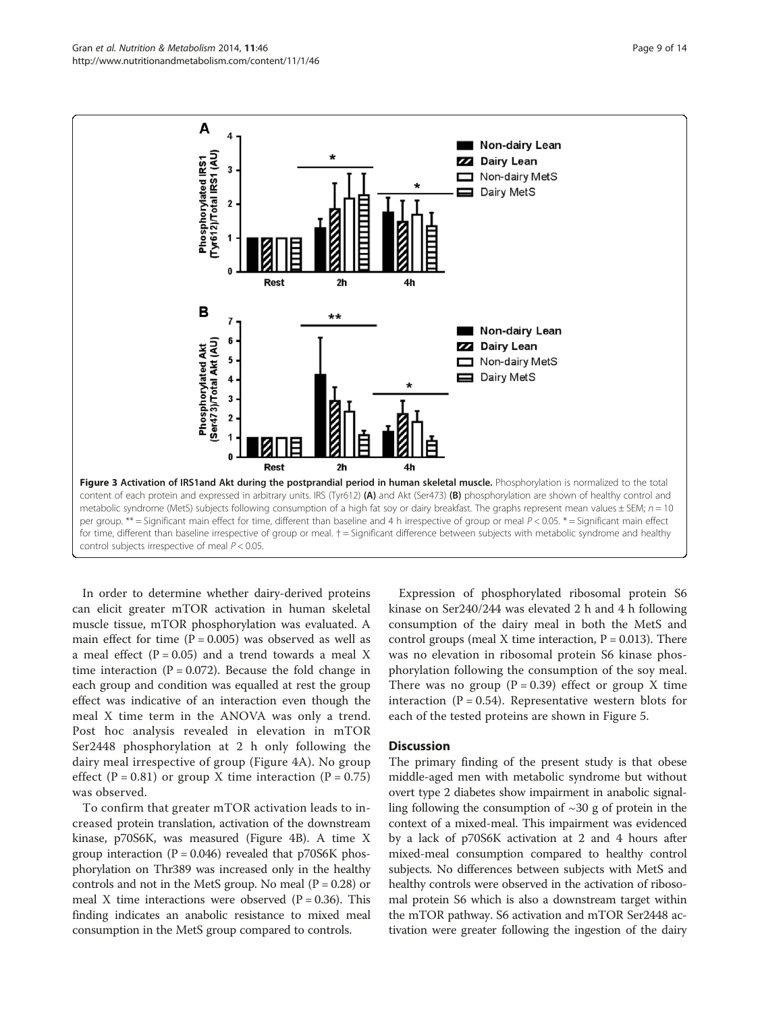<span id="page-8-0"></span>

In order to determine whether dairy-derived proteins can elicit greater mTOR activation in human skeletal muscle tissue, mTOR phosphorylation was evaluated. A main effect for time  $(P = 0.005)$  was observed as well as a meal effect  $(P = 0.05)$  and a trend towards a meal X time interaction ( $P = 0.072$ ). Because the fold change in each group and condition was equalled at rest the group effect was indicative of an interaction even though the meal X time term in the ANOVA was only a trend. Post hoc analysis revealed in elevation in mTOR Ser2448 phosphorylation at 2 h only following the dairy meal irrespective of group (Figure [4A](#page-9-0)). No group effect (P = 0.81) or group X time interaction (P = 0.75) was observed.

To confirm that greater mTOR activation leads to increased protein translation, activation of the downstream kinase, p70S6K, was measured (Figure [4](#page-9-0)B). A time X group interaction ( $P = 0.046$ ) revealed that p70S6K phosphorylation on Thr389 was increased only in the healthy controls and not in the MetS group. No meal  $(P = 0.28)$  or meal X time interactions were observed  $(P = 0.36)$ . This finding indicates an anabolic resistance to mixed meal consumption in the MetS group compared to controls.

Expression of phosphorylated ribosomal protein S6 kinase on Ser240/244 was elevated 2 h and 4 h following consumption of the dairy meal in both the MetS and control groups (meal X time interaction,  $P = 0.013$ ). There was no elevation in ribosomal protein S6 kinase phosphorylation following the consumption of the soy meal. There was no group ( $P = 0.39$ ) effect or group X time interaction ( $P = 0.54$ ). Representative western blots for each of the tested proteins are shown in Figure [5.](#page-10-0)

## **Discussion**

The primary finding of the present study is that obese middle-aged men with metabolic syndrome but without overt type 2 diabetes show impairment in anabolic signalling following the consumption of  $\sim$ 30 g of protein in the context of a mixed-meal. This impairment was evidenced by a lack of p70S6K activation at 2 and 4 hours after mixed-meal consumption compared to healthy control subjects. No differences between subjects with MetS and healthy controls were observed in the activation of ribosomal protein S6 which is also a downstream target within the mTOR pathway. S6 activation and mTOR Ser2448 activation were greater following the ingestion of the dairy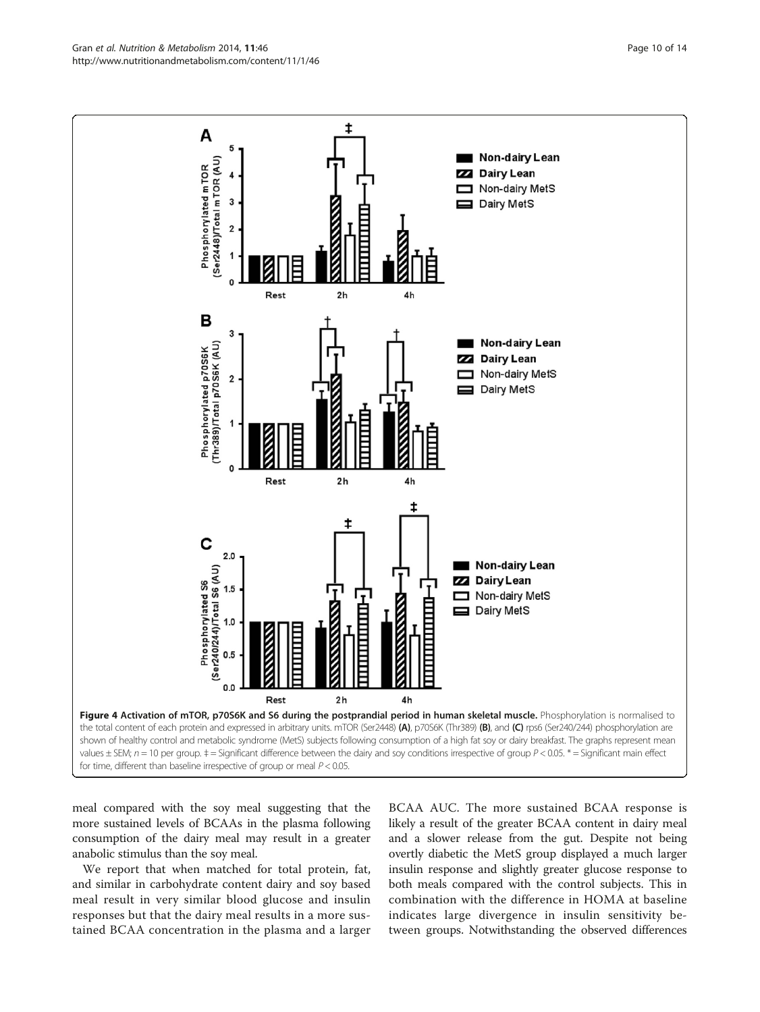meal compared with the soy meal suggesting that the more sustained levels of BCAAs in the plasma following consumption of the dairy meal may result in a greater anabolic stimulus than the soy meal.

We report that when matched for total protein, fat, and similar in carbohydrate content dairy and soy based meal result in very similar blood glucose and insulin responses but that the dairy meal results in a more sustained BCAA concentration in the plasma and a larger

BCAA AUC. The more sustained BCAA response is likely a result of the greater BCAA content in dairy meal and a slower release from the gut. Despite not being overtly diabetic the MetS group displayed a much larger insulin response and slightly greater glucose response to both meals compared with the control subjects. This in combination with the difference in HOMA at baseline indicates large divergence in insulin sensitivity between groups. Notwithstanding the observed differences

<span id="page-9-0"></span>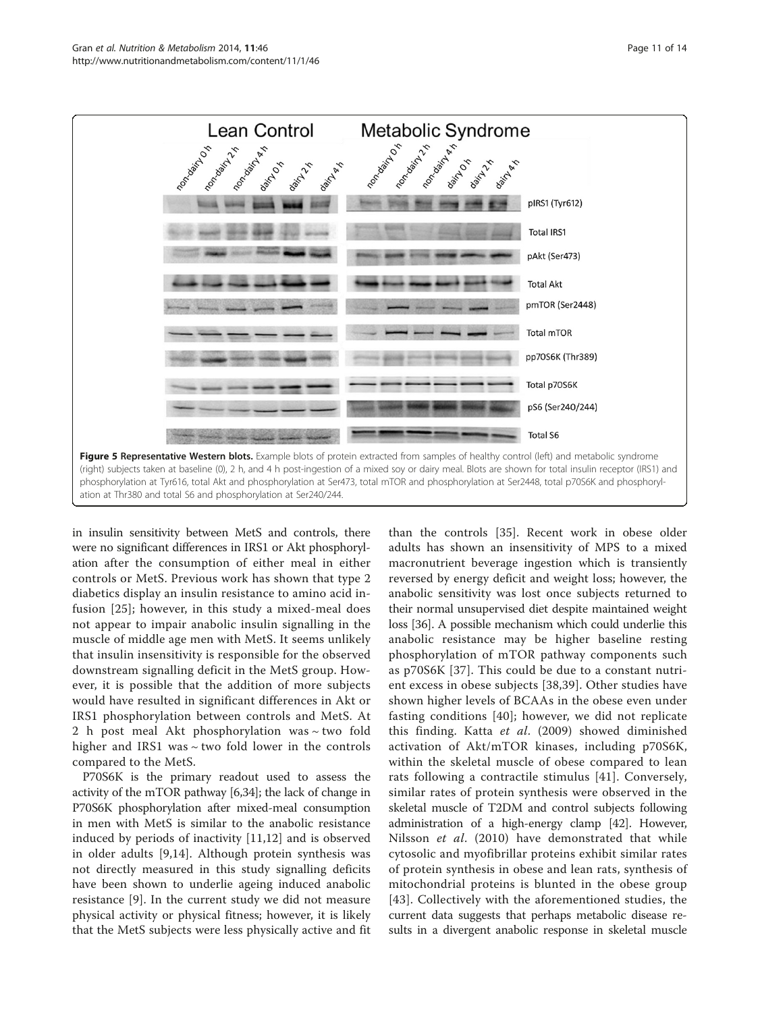<span id="page-10-0"></span>

in insulin sensitivity between MetS and controls, there were no significant differences in IRS1 or Akt phosphorylation after the consumption of either meal in either controls or MetS. Previous work has shown that type 2 diabetics display an insulin resistance to amino acid infusion [[25](#page-12-0)]; however, in this study a mixed-meal does not appear to impair anabolic insulin signalling in the muscle of middle age men with MetS. It seems unlikely that insulin insensitivity is responsible for the observed downstream signalling deficit in the MetS group. However, it is possible that the addition of more subjects would have resulted in significant differences in Akt or IRS1 phosphorylation between controls and MetS. At 2 h post meal Akt phosphorylation was ~ two fold higher and IRS1 was  $\sim$  two fold lower in the controls compared to the MetS.

P70S6K is the primary readout used to assess the activity of the mTOR pathway [\[6,34\]](#page-12-0); the lack of change in P70S6K phosphorylation after mixed-meal consumption in men with MetS is similar to the anabolic resistance induced by periods of inactivity [[11,12](#page-12-0)] and is observed in older adults [[9,14](#page-12-0)]. Although protein synthesis was not directly measured in this study signalling deficits have been shown to underlie ageing induced anabolic resistance [\[9](#page-12-0)]. In the current study we did not measure physical activity or physical fitness; however, it is likely that the MetS subjects were less physically active and fit

than the controls [[35](#page-12-0)]. Recent work in obese older adults has shown an insensitivity of MPS to a mixed macronutrient beverage ingestion which is transiently reversed by energy deficit and weight loss; however, the anabolic sensitivity was lost once subjects returned to their normal unsupervised diet despite maintained weight loss [[36](#page-12-0)]. A possible mechanism which could underlie this anabolic resistance may be higher baseline resting phosphorylation of mTOR pathway components such as p70S6K [[37\]](#page-12-0). This could be due to a constant nutrient excess in obese subjects [[38](#page-12-0),[39\]](#page-12-0). Other studies have shown higher levels of BCAAs in the obese even under fasting conditions [\[40](#page-12-0)]; however, we did not replicate this finding. Katta et al. (2009) showed diminished activation of Akt/mTOR kinases, including p70S6K, within the skeletal muscle of obese compared to lean rats following a contractile stimulus [[41\]](#page-12-0). Conversely, similar rates of protein synthesis were observed in the skeletal muscle of T2DM and control subjects following administration of a high-energy clamp [\[42\]](#page-12-0). However, Nilsson et al. (2010) have demonstrated that while cytosolic and myofibrillar proteins exhibit similar rates of protein synthesis in obese and lean rats, synthesis of mitochondrial proteins is blunted in the obese group [[43](#page-13-0)]. Collectively with the aforementioned studies, the current data suggests that perhaps metabolic disease results in a divergent anabolic response in skeletal muscle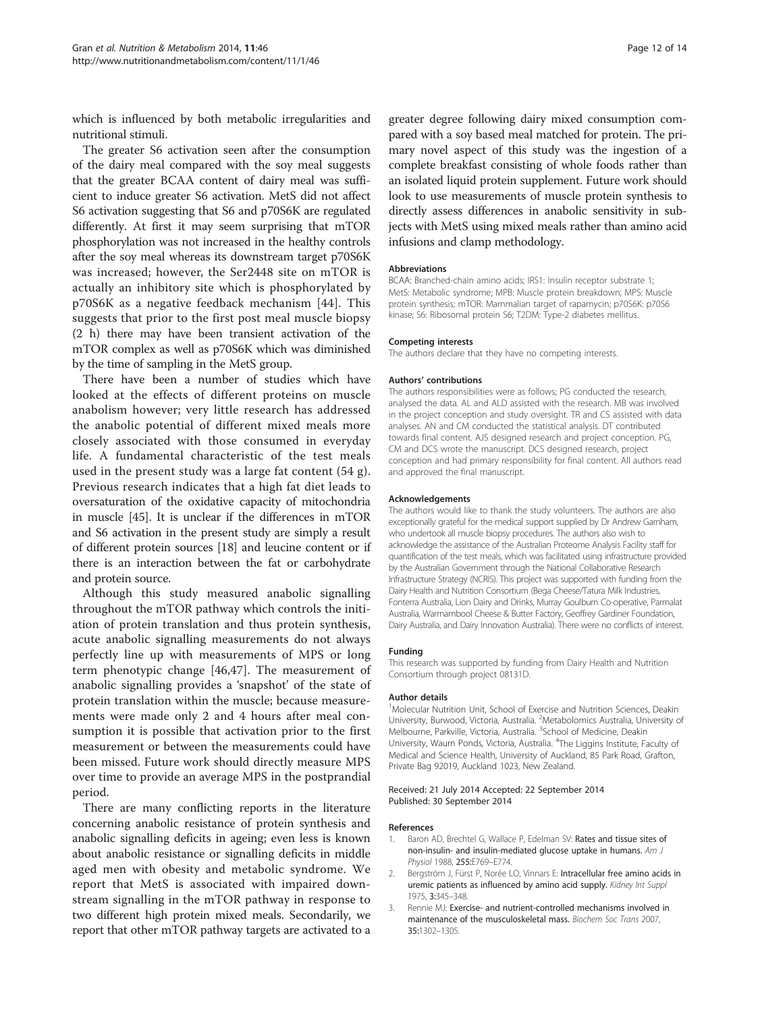<span id="page-11-0"></span>which is influenced by both metabolic irregularities and nutritional stimuli.

The greater S6 activation seen after the consumption of the dairy meal compared with the soy meal suggests that the greater BCAA content of dairy meal was sufficient to induce greater S6 activation. MetS did not affect S6 activation suggesting that S6 and p70S6K are regulated differently. At first it may seem surprising that mTOR phosphorylation was not increased in the healthy controls after the soy meal whereas its downstream target p70S6K was increased; however, the Ser2448 site on mTOR is actually an inhibitory site which is phosphorylated by p70S6K as a negative feedback mechanism [[44\]](#page-13-0). This suggests that prior to the first post meal muscle biopsy (2 h) there may have been transient activation of the mTOR complex as well as p70S6K which was diminished by the time of sampling in the MetS group.

There have been a number of studies which have looked at the effects of different proteins on muscle anabolism however; very little research has addressed the anabolic potential of different mixed meals more closely associated with those consumed in everyday life. A fundamental characteristic of the test meals used in the present study was a large fat content (54 g). Previous research indicates that a high fat diet leads to oversaturation of the oxidative capacity of mitochondria in muscle [\[45\]](#page-13-0). It is unclear if the differences in mTOR and S6 activation in the present study are simply a result of different protein sources [\[18](#page-12-0)] and leucine content or if there is an interaction between the fat or carbohydrate and protein source.

Although this study measured anabolic signalling throughout the mTOR pathway which controls the initiation of protein translation and thus protein synthesis, acute anabolic signalling measurements do not always perfectly line up with measurements of MPS or long term phenotypic change [\[46](#page-13-0),[47\]](#page-13-0). The measurement of anabolic signalling provides a 'snapshot' of the state of protein translation within the muscle; because measurements were made only 2 and 4 hours after meal consumption it is possible that activation prior to the first measurement or between the measurements could have been missed. Future work should directly measure MPS over time to provide an average MPS in the postprandial period.

There are many conflicting reports in the literature concerning anabolic resistance of protein synthesis and anabolic signalling deficits in ageing; even less is known about anabolic resistance or signalling deficits in middle aged men with obesity and metabolic syndrome. We report that MetS is associated with impaired downstream signalling in the mTOR pathway in response to two different high protein mixed meals. Secondarily, we report that other mTOR pathway targets are activated to a

greater degree following dairy mixed consumption compared with a soy based meal matched for protein. The primary novel aspect of this study was the ingestion of a complete breakfast consisting of whole foods rather than an isolated liquid protein supplement. Future work should look to use measurements of muscle protein synthesis to directly assess differences in anabolic sensitivity in subjects with MetS using mixed meals rather than amino acid infusions and clamp methodology.

#### Abbreviations

BCAA: Branched-chain amino acids; IRS1: Insulin receptor substrate 1; MetS: Metabolic syndrome; MPB: Muscle protein breakdown; MPS: Muscle protein synthesis; mTOR: Mammalian target of rapamycin; p70S6K: p70S6 kinase; S6: Ribosomal protein S6; T2DM: Type-2 diabetes mellitus.

#### Competing interests

The authors declare that they have no competing interests.

#### Authors' contributions

The authors responsibilities were as follows; PG conducted the research, analysed the data. AL and ALD assisted with the research. MB was involved in the project conception and study oversight. TR and CS assisted with data analyses. AN and CM conducted the statistical analysis. DT contributed towards final content. AJS designed research and project conception. PG, CM and DCS wrote the manuscript. DCS designed research, project conception and had primary responsibility for final content. All authors read and approved the final manuscript.

#### Acknowledgements

The authors would like to thank the study volunteers. The authors are also exceptionally grateful for the medical support supplied by Dr Andrew Garnham, who undertook all muscle biopsy procedures. The authors also wish to acknowledge the assistance of the Australian Proteome Analysis Facility staff for quantification of the test meals, which was facilitated using infrastructure provided by the Australian Government through the National Collaborative Research Infrastructure Strategy (NCRIS). This project was supported with funding from the Dairy Health and Nutrition Consortium (Bega Cheese/Tatura Milk Industries, Fonterra Australia, Lion Dairy and Drinks, Murray Goulburn Co-operative, Parmalat Australia, Warrnambool Cheese & Butter Factory, Geoffrey Gardiner Foundation, Dairy Australia, and Dairy Innovation Australia). There were no conflicts of interest.

#### Funding

This research was supported by funding from Dairy Health and Nutrition Consortium through project 08131D.

#### Author details

<sup>1</sup>Molecular Nutrition Unit, School of Exercise and Nutrition Sciences, Deakin University, Burwood, Victoria, Australia. <sup>2</sup>Metabolomics Australia, University of Melbourne, Parkville, Victoria, Australia. <sup>3</sup>School of Medicine, Deakin University, Waurn Ponds, Victoria, Australia. <sup>4</sup>The Liggins Institute, Faculty of Medical and Science Health, University of Auckland, 85 Park Road, Grafton, Private Bag 92019, Auckland 1023, New Zealand.

#### Received: 21 July 2014 Accepted: 22 September 2014 Published: 30 September 2014

#### References

- 1. Baron AD, Brechtel G, Wallace P, Edelman SV: Rates and tissue sites of non-insulin- and insulin-mediated glucose uptake in humans. Am J Physiol 1988, 255:E769–E774.
- 2. Bergström J, Fürst P, Norée LO, Vinnars E: Intracellular free amino acids in uremic patients as influenced by amino acid supply. Kidney Int Suppl 1975, 3:345–348.
- 3. Rennie MJ: Exercise- and nutrient-controlled mechanisms involved in maintenance of the musculoskeletal mass. Biochem Soc Trans 2007, 35:1302–1305.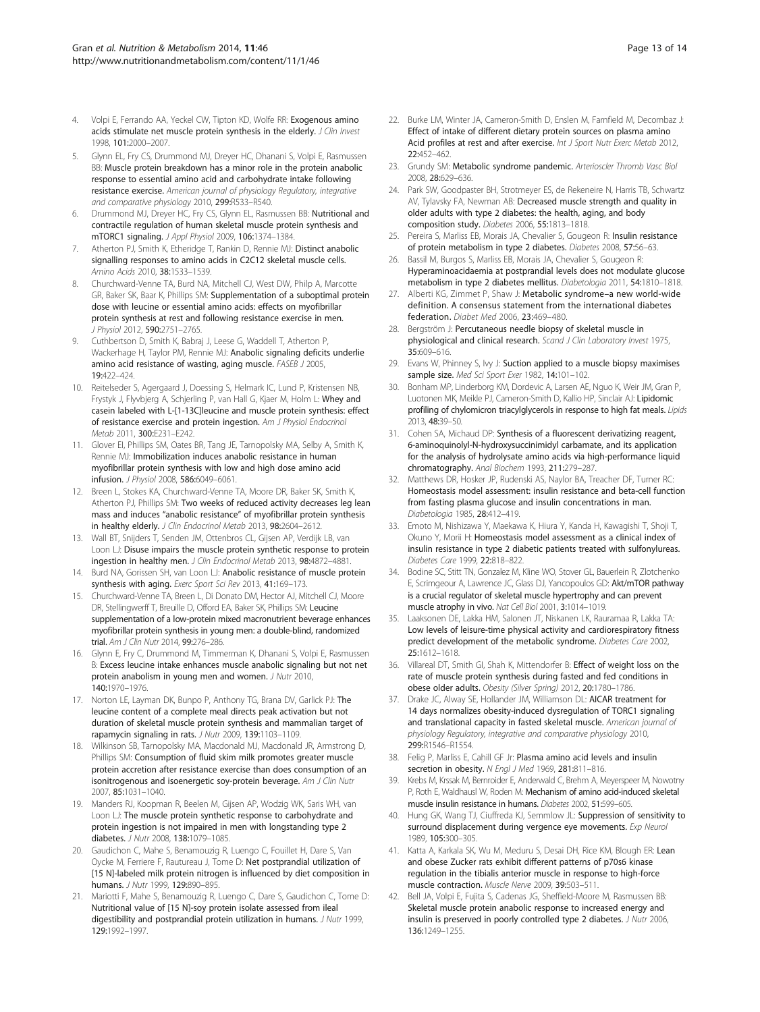- <span id="page-12-0"></span>4. Volpi E, Ferrando AA, Yeckel CW, Tipton KD, Wolfe RR: Exogenous amino acids stimulate net muscle protein synthesis in the elderly. J Clin Invest 1998, 101:2000–2007.
- 5. Glynn EL, Fry CS, Drummond MJ, Dreyer HC, Dhanani S, Volpi E, Rasmussen BB: Muscle protein breakdown has a minor role in the protein anabolic response to essential amino acid and carbohydrate intake following resistance exercise. American journal of physiology Regulatory, integrative and comparative physiology 2010, 299:R533–R540.
- 6. Drummond MJ, Dreyer HC, Fry CS, Glynn EL, Rasmussen BB: Nutritional and contractile regulation of human skeletal muscle protein synthesis and mTORC1 signaling. J Appl Physiol 2009, 106:1374–1384.
- Atherton PJ, Smith K, Etheridge T, Rankin D, Rennie MJ: Distinct anabolic signalling responses to amino acids in C2C12 skeletal muscle cells. Amino Acids 2010, 38:1533–1539.
- Churchward-Venne TA, Burd NA, Mitchell CJ, West DW, Philp A, Marcotte GR, Baker SK, Baar K, Phillips SM: Supplementation of a suboptimal protein dose with leucine or essential amino acids: effects on myofibrillar protein synthesis at rest and following resistance exercise in men. J Physiol 2012, 590:2751–2765.
- 9. Cuthbertson D, Smith K, Babraj J, Leese G, Waddell T, Atherton P, Wackerhage H, Taylor PM, Rennie MJ: Anabolic signaling deficits underlie amino acid resistance of wasting, aging muscle. FASEB J 2005, 19:422–424.
- 10. Reitelseder S, Agergaard J, Doessing S, Helmark IC, Lund P, Kristensen NB, Frystyk J, Flyvbjerg A, Schjerling P, van Hall G, Kjaer M, Holm L: Whey and casein labeled with L-[1-13C]leucine and muscle protein synthesis: effect of resistance exercise and protein ingestion. Am J Physiol Endocrinol Metab 2011, 300:E231–E242.
- 11. Glover EI, Phillips SM, Oates BR, Tang JE, Tarnopolsky MA, Selby A, Smith K, Rennie MJ: Immobilization induces anabolic resistance in human myofibrillar protein synthesis with low and high dose amino acid infusion. J Physiol 2008, 586:6049–6061.
- 12. Breen L, Stokes KA, Churchward-Venne TA, Moore DR, Baker SK, Smith K, Atherton PJ, Phillips SM: Two weeks of reduced activity decreases leg lean mass and induces "anabolic resistance" of myofibrillar protein synthesis in healthy elderly. J Clin Endocrinol Metab 2013, 98:2604-2612.
- 13. Wall BT, Snijders T, Senden JM, Ottenbros CL, Gijsen AP, Verdijk LB, van Loon LJ: Disuse impairs the muscle protein synthetic response to protein ingestion in healthy men. J Clin Endocrinol Metab 2013, 98:4872-4881.
- 14. Burd NA, Gorissen SH, van Loon LJ: Anabolic resistance of muscle protein synthesis with aging. Exerc Sport Sci Rev 2013, 41:169–173.
- 15. Churchward-Venne TA, Breen L, Di Donato DM, Hector AJ, Mitchell CJ, Moore DR, Stellingwerff T, Breuille D, Offord EA, Baker SK, Phillips SM: Leucine supplementation of a low-protein mixed macronutrient beverage enhances myofibrillar protein synthesis in young men: a double-blind, randomized trial. Am J Clin Nutr 2014, 99:276–286.
- 16. Glynn E, Fry C, Drummond M, Timmerman K, Dhanani S, Volpi E, Rasmussen B: Excess leucine intake enhances muscle anabolic signaling but not net protein anabolism in young men and women. J Nutr 2010, 140:1970–1976.
- 17. Norton LE, Layman DK, Bunpo P, Anthony TG, Brana DV, Garlick PJ: The leucine content of a complete meal directs peak activation but not duration of skeletal muscle protein synthesis and mammalian target of rapamycin signaling in rats. J Nutr 2009, 139:1103–1109.
- 18. Wilkinson SB, Tarnopolsky MA, Macdonald MJ, Macdonald JR, Armstrong D, Phillips SM: Consumption of fluid skim milk promotes greater muscle protein accretion after resistance exercise than does consumption of an isonitrogenous and isoenergetic soy-protein beverage. Am J Clin Nutr 2007, 85:1031–1040.
- 19. Manders RJ, Koopman R, Beelen M, Gijsen AP, Wodzig WK, Saris WH, van Loon LJ: The muscle protein synthetic response to carbohydrate and protein ingestion is not impaired in men with longstanding type 2 diabetes. J Nutr 2008, 138:1079–1085.
- 20. Gaudichon C, Mahe S, Benamouzig R, Luengo C, Fouillet H, Dare S, Van Oycke M, Ferriere F, Rautureau J, Tome D: Net postprandial utilization of [15 N]-labeled milk protein nitrogen is influenced by diet composition in humans. J Nutr 1999, 129:890–895.
- 21. Mariotti F, Mahe S, Benamouzig R, Luengo C, Dare S, Gaudichon C, Tome D: Nutritional value of [15 N]-soy protein isolate assessed from ileal digestibility and postprandial protein utilization in humans. J Nutr 1999, 129:1992–1997.
- 22. Burke LM, Winter JA, Cameron-Smith D, Enslen M, Farnfield M, Decombaz J: Effect of intake of different dietary protein sources on plasma amino Acid profiles at rest and after exercise. Int J Sport Nutr Exerc Metab 2012, 22:452–462.
- 23. Grundy SM: Metabolic syndrome pandemic. Arterioscler Thromb Vasc Biol 2008, 28:629–636.
- 24. Park SW, Goodpaster BH, Strotmeyer ES, de Rekeneire N, Harris TB, Schwartz AV, Tylavsky FA, Newman AB: Decreased muscle strength and quality in older adults with type 2 diabetes: the health, aging, and body composition study. Diabetes 2006, 55:1813–1818.
- Pereira S, Marliss EB, Morais JA, Chevalier S, Gougeon R: Insulin resistance of protein metabolism in type 2 diabetes. Diabetes 2008, 57:56–63.
- 26. Bassil M, Burgos S, Marliss EB, Morais JA, Chevalier S, Gougeon R: Hyperaminoacidaemia at postprandial levels does not modulate glucose metabolism in type 2 diabetes mellitus. Diabetologia 2011, 54:1810–1818.
- 27. Alberti KG, Zimmet P, Shaw J: Metabolic syndrome–a new world-wide definition. A consensus statement from the international diabetes federation. Diabet Med 2006, 23:469–480.
- 28. Bergström J: Percutaneous needle biopsy of skeletal muscle in physiological and clinical research. Scand J Clin Laboratory Invest 1975, 35:609–616.
- 29. Evans W, Phinney S, Ivy J: Suction applied to a muscle biopsy maximises sample size. Med Sci Sport Exer 1982, 14:101-102.
- 30. Bonham MP, Linderborg KM, Dordevic A, Larsen AE, Nguo K, Weir JM, Gran P, Luotonen MK, Meikle PJ, Cameron-Smith D, Kallio HP, Sinclair AJ: Lipidomic profiling of chylomicron triacylglycerols in response to high fat meals. Lipids 2013, 48:39–50.
- 31. Cohen SA, Michaud DP: Synthesis of a fluorescent derivatizing reagent, 6-aminoquinolyl-N-hydroxysuccinimidyl carbamate, and its application for the analysis of hydrolysate amino acids via high-performance liquid chromatography. Anal Biochem 1993, 211:279–287.
- 32. Matthews DR, Hosker JP, Rudenski AS, Naylor BA, Treacher DF, Turner RC: Homeostasis model assessment: insulin resistance and beta-cell function from fasting plasma glucose and insulin concentrations in man. Diabetologia 1985, 28:412–419.
- 33. Emoto M, Nishizawa Y, Maekawa K, Hiura Y, Kanda H, Kawagishi T, Shoji T, Okuno Y, Morii H: Homeostasis model assessment as a clinical index of insulin resistance in type 2 diabetic patients treated with sulfonylureas. Diabetes Care 1999, 22:818–822.
- 34. Bodine SC, Stitt TN, Gonzalez M, Kline WO, Stover GL, Bauerlein R, Zlotchenko E, Scrimgeour A, Lawrence JC, Glass DJ, Yancopoulos GD: Akt/mTOR pathway is a crucial regulator of skeletal muscle hypertrophy and can prevent muscle atrophy in vivo. Nat Cell Biol 2001, 3:1014–1019.
- 35. Laaksonen DE, Lakka HM, Salonen JT, Niskanen LK, Rauramaa R, Lakka TA: Low levels of leisure-time physical activity and cardiorespiratory fitness predict development of the metabolic syndrome. Diabetes Care 2002, 25:1612–1618.
- 36. Villareal DT, Smith GI, Shah K, Mittendorfer B: Effect of weight loss on the rate of muscle protein synthesis during fasted and fed conditions in obese older adults. Obesity (Silver Spring) 2012, 20:1780–1786.
- 37. Drake JC, Alway SE, Hollander JM, Williamson DL: AICAR treatment for 14 days normalizes obesity-induced dysregulation of TORC1 signaling and translational capacity in fasted skeletal muscle. American journal of physiology Regulatory, integrative and comparative physiology 2010, 299:R1546–R1554.
- 38. Felig P, Marliss E, Cahill GF Jr: Plasma amino acid levels and insulin secretion in obesity. N Engl J Med 1969, 281:811-816.
- 39. Krebs M, Krssak M, Bernroider E, Anderwald C, Brehm A, Meyerspeer M, Nowotny P, Roth E, Waldhausl W, Roden M: Mechanism of amino acid-induced skeletal muscle insulin resistance in humans. Diabetes 2002, 51:599–605.
- 40. Hung GK, Wang TJ, Ciuffreda KJ, Semmlow JL: Suppression of sensitivity to surround displacement during vergence eye movements. Exp Neurol 1989, 105:300–305.
- 41. Katta A, Karkala SK, Wu M, Meduru S, Desai DH, Rice KM, Blough ER: Lean and obese Zucker rats exhibit different patterns of p70s6 kinase regulation in the tibialis anterior muscle in response to high-force muscle contraction. Muscle Nerve 2009, 39:503–511.
- Bell JA, Volpi E, Fujita S, Cadenas JG, Sheffield-Moore M, Rasmussen BB: Skeletal muscle protein anabolic response to increased energy and insulin is preserved in poorly controlled type 2 diabetes. J Nutr 2006, 136:1249–1255.